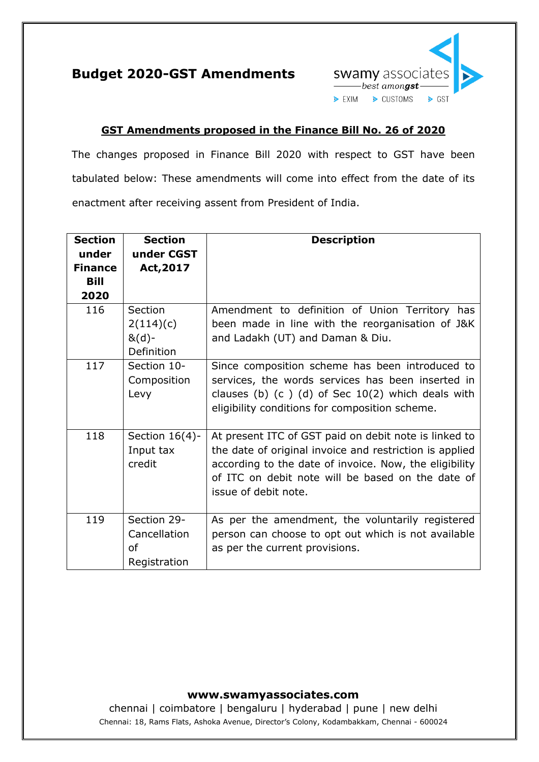



## **GST Amendments proposed in the Finance Bill No. 26 of 2020**

The changes proposed in Finance Bill 2020 with respect to GST have been tabulated below: These amendments will come into effect from the date of its enactment after receiving assent from President of India.

| <b>Section</b><br>under | <b>Section</b><br>under CGST                             | <b>Description</b>                                                                                                                                                                                                                                      |
|-------------------------|----------------------------------------------------------|---------------------------------------------------------------------------------------------------------------------------------------------------------------------------------------------------------------------------------------------------------|
| <b>Finance</b>          | Act, 2017                                                |                                                                                                                                                                                                                                                         |
| Bill                    |                                                          |                                                                                                                                                                                                                                                         |
| 2020                    |                                                          |                                                                                                                                                                                                                                                         |
| 116                     | Section<br>2(114)(c)<br>$&(d)-$<br>Definition            | Amendment to definition of Union Territory has<br>been made in line with the reorganisation of J&K<br>and Ladakh (UT) and Daman & Diu.                                                                                                                  |
| 117                     | Section 10-<br>Composition<br>Levy                       | Since composition scheme has been introduced to<br>services, the words services has been inserted in<br>clauses (b) $(c)$ (d) of Sec 10(2) which deals with<br>eligibility conditions for composition scheme.                                           |
| 118                     | Section $16(4)$ -<br>Input tax<br>credit                 | At present ITC of GST paid on debit note is linked to<br>the date of original invoice and restriction is applied<br>according to the date of invoice. Now, the eligibility<br>of ITC on debit note will be based on the date of<br>issue of debit note. |
| 119                     | Section 29-<br>Cancellation<br><b>of</b><br>Registration | As per the amendment, the voluntarily registered<br>person can choose to opt out which is not available<br>as per the current provisions.                                                                                                               |

## **www.swamyassociates.com**

chennai | coimbatore | bengaluru | hyderabad | pune | new delhi Chennai: 18, Rams Flats, Ashoka Avenue, Director's Colony, Kodambakkam, Chennai - 600024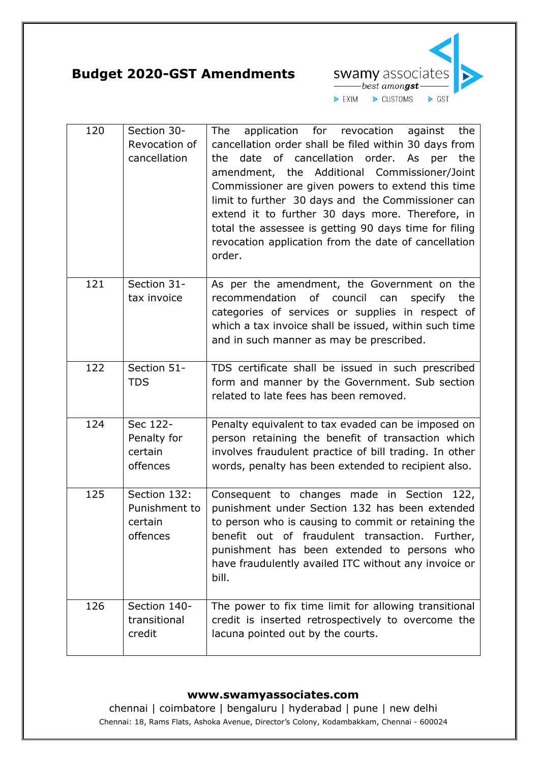**Budget 2020-GST Amendments**



| 120 | Section 30-<br>Revocation of<br>cancellation         | application for revocation against the<br>The<br>cancellation order shall be filed within 30 days from<br>date of cancellation order. As per the<br>the<br>amendment, the Additional Commissioner/Joint<br>Commissioner are given powers to extend this time<br>limit to further 30 days and the Commissioner can<br>extend it to further 30 days more. Therefore, in<br>total the assessee is getting 90 days time for filing<br>revocation application from the date of cancellation<br>order. |
|-----|------------------------------------------------------|--------------------------------------------------------------------------------------------------------------------------------------------------------------------------------------------------------------------------------------------------------------------------------------------------------------------------------------------------------------------------------------------------------------------------------------------------------------------------------------------------|
| 121 | Section 31-<br>tax invoice                           | As per the amendment, the Government on the<br>recommendation<br>of council<br>the<br>can<br>specify<br>categories of services or supplies in respect of<br>which a tax invoice shall be issued, within such time<br>and in such manner as may be prescribed.                                                                                                                                                                                                                                    |
| 122 | Section 51-<br><b>TDS</b>                            | TDS certificate shall be issued in such prescribed<br>form and manner by the Government. Sub section<br>related to late fees has been removed.                                                                                                                                                                                                                                                                                                                                                   |
| 124 | Sec 122-<br>Penalty for<br>certain<br>offences       | Penalty equivalent to tax evaded can be imposed on<br>person retaining the benefit of transaction which<br>involves fraudulent practice of bill trading. In other<br>words, penalty has been extended to recipient also.                                                                                                                                                                                                                                                                         |
| 125 | Section 132:<br>Punishment to<br>certain<br>offences | Consequent to changes made in Section 122,<br>punishment under Section 132 has been extended<br>to person who is causing to commit or retaining the<br>out of fraudulent transaction. Further,<br>benefit<br>punishment has been extended to persons who<br>have fraudulently availed ITC without any invoice or<br>bill.                                                                                                                                                                        |
| 126 | Section 140-<br>transitional<br>credit               | The power to fix time limit for allowing transitional<br>credit is inserted retrospectively to overcome the<br>lacuna pointed out by the courts.                                                                                                                                                                                                                                                                                                                                                 |

## **www.swamyassociates.com**

chennai | coimbatore | bengaluru | hyderabad | pune | new delhi Chennai: 18, Rams Flats, Ashoka Avenue, Director's Colony, Kodambakkam, Chennai - 600024